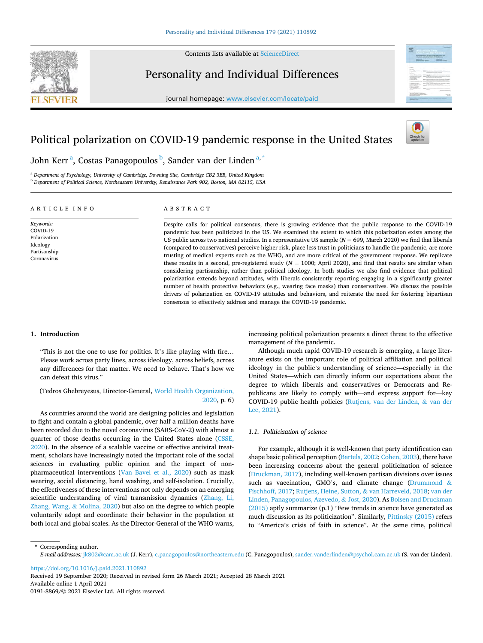**SEVIED** 

Contents lists available at [ScienceDirect](www.sciencedirect.com/science/journal/01918869)

# Personality and Individual Differences

journal homepage: [www.elsevier.com/locate/paid](https://www.elsevier.com/locate/paid)





# John Kerr<sup>a</sup>, Costas Panagopoulos <sup>b</sup>, Sander van der Linden<sup>a, \*</sup>

<sup>a</sup> *Department of Psychology, University of Cambridge, Downing Site, Cambridge CB2 3EB, United Kingdom*  <sup>b</sup> *Department of Political Science, Northeastern University, Renaissance Park 902, Boston, MA 02115, USA* 

# A R T I C L E I N F O

*Keywords:*  COVID-19 Polarization Ideology Partisanship Coronavirus

ABSTRACT

Despite calls for political consensus, there is growing evidence that the public response to the COVID-19 pandemic has been politicized in the US. We examined the extent to which this polarization exists among the US public across two national studies. In a representative US sample (*N* = 699, March 2020) we find that liberals (compared to conservatives) perceive higher risk, place less trust in politicians to handle the pandemic, are more trusting of medical experts such as the WHO, and are more critical of the government response. We replicate these results in a second, pre-registered study (*N* = 1000; April 2020), and find that results are similar when considering partisanship, rather than political ideology. In both studies we also find evidence that political polarization extends beyond attitudes, with liberals consistently reporting engaging in a significantly greater number of health protective behaviors (e.g., wearing face masks) than conservatives. We discuss the possible drivers of polarization on COVID-19 attitudes and behaviors, and reiterate the need for fostering bipartisan consensus to effectively address and manage the COVID-19 pandemic.

# **1. Introduction**

"This is not the one to use for politics. It's like playing with fire… Please work across party lines, across ideology, across beliefs, across any differences for that matter. We need to behave. That's how we can defeat this virus."

# (Tedros Ghebreyesus, Director-General, [World Health Organization,](#page-8-0)  [2020](#page-8-0), p. 6)

As countries around the world are designing policies and legislation to fight and contain a global pandemic, over half a million deaths have been recorded due to the novel coronavirus (SARS-CoV-2) with almost a quarter of those deaths occurring in the United States alone [\(CSSE,](#page-7-0)  [2020\)](#page-7-0). In the absence of a scalable vaccine or effective antiviral treatment, scholars have increasingly noted the important role of the social sciences in evaluating public opinion and the impact of nonpharmaceutical interventions [\(Van Bavel et al., 2020\)](#page-8-0) such as mask wearing, social distancing, hand washing, and self-isolation. Crucially, the effectiveness of these interventions not only depends on an emerging scientific understanding of viral transmission dynamics [\(Zhang, Li,](#page-8-0)  [Zhang, Wang,](#page-8-0) & Molina, 2020) but also on the degree to which people voluntarily adopt and coordinate their behavior in the population at both local and global scales. As the Director-General of the WHO warns,

increasing political polarization presents a direct threat to the effective management of the pandemic.

Although much rapid COVID-19 research is emerging, a large literature exists on the important role of political affiliation and political ideology in the public's understanding of science—especially in the United States—which can directly inform our expectations about the degree to which liberals and conservatives or Democrats and Republicans are likely to comply with—and express support for—key COVID-19 public health policies ([Rutjens, van der Linden,](#page-8-0) & van der [Lee, 2021](#page-8-0)).

#### *1.1. Politicization of science*

For example, although it is well-known that party identification can shape basic political perception [\(Bartels, 2002](#page-7-0); [Cohen, 2003](#page-7-0)), there have been increasing concerns about the general politicization of science ([Druckman, 2017\)](#page-7-0), including well-known partisan divisions over issues such as vaccination, GMO's, and climate change ([Drummond](#page-7-0)  $\&$ [Fischhoff, 2017](#page-7-0); [Rutjens, Heine, Sutton,](#page-8-0) & van Harreveld, 2018; [van der](#page-8-0)  [Linden, Panagopoulos, Azevedo,](#page-8-0) & Jost, 2020). As [Bolsen and Druckman](#page-7-0)  [\(2015\)](#page-7-0) aptly summarize (p.1) "Few trends in science have generated as much discussion as its politicization". Similarly, [Pittinsky \(2015\)](#page-8-0) refers to "America's crisis of faith in science". At the same time, political

\* Corresponding author. *E-mail addresses:* [jk802@cam.ac.uk](mailto:jk802@cam.ac.uk) (J. Kerr), [c.panagopoulos@northeastern.edu](mailto:c.panagopoulos@northeastern.edu) (C. Panagopoulos), [sander.vanderlinden@psychol.cam.ac.uk](mailto:sander.vanderlinden@psychol.cam.ac.uk) (S. van der Linden).

<https://doi.org/10.1016/j.paid.2021.110892>

Available online 1 April 2021 0191-8869/© 2021 Elsevier Ltd. All rights reserved. Received 19 September 2020; Received in revised form 26 March 2021; Accepted 28 March 2021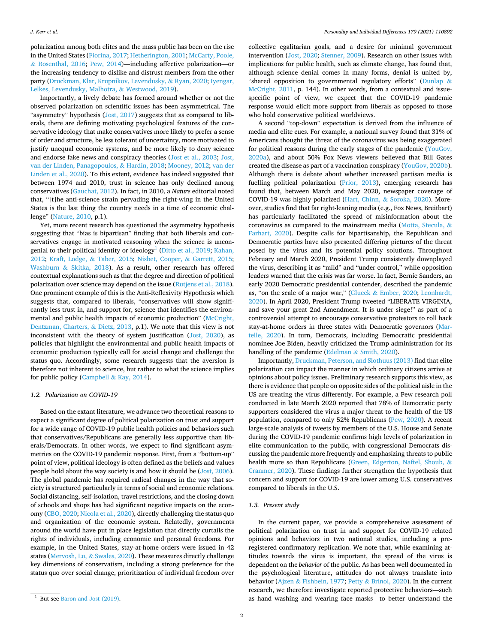polarization among both elites and the mass public has been on the rise in the United States ([Fiorina, 2017; Hetherington, 2001](#page-7-0); [McCarty, Poole,](#page-7-0)  & [Rosenthal, 2016;](#page-7-0) [Pew, 2014\)](#page-8-0)—including affective polarization—or the increasing tendency to dislike and distrust members from the other party [\(Druckman, Klar, Krupnikov, Levendusky,](#page-7-0) & Ryan, 2020; [Iyengar,](#page-7-0)  [Lelkes, Levendusky, Malhotra,](#page-7-0) & Westwood, 2019).

Importantly, a lively debate has formed around whether or not the observed polarization on scientific issues has been asymmetrical. The "asymmetry" hypothesis [\(Jost, 2017](#page-7-0)) suggests that as compared to liberals, there are defining motivating psychological features of the conservative ideology that make conservatives more likely to prefer a sense of order and structure, be less tolerant of uncertainty, more motivated to justify unequal economic systems, and be more likely to deny science and endorse fake news and conspiracy theories [\(Jost et al., 2003; Jost,](#page-7-0)  [van der Linden, Panagopoulos,](#page-7-0) & Hardin, 2018; [Mooney, 2012;](#page-7-0) [van der](#page-8-0)  [Linden et al., 2020](#page-8-0)). To this extent, evidence has indeed suggested that between 1974 and 2010, trust in science has only declined among conservatives [\(Gauchat, 2012](#page-7-0)). In fact, in 2010, a *Nature* editorial noted that, "[t]he anti-science strain pervading the right-wing in the United States is the last thing the country needs in a time of economic challenge" [\(Nature, 2010](#page-7-0), p.1).

Yet, more recent research has questioned the asymmetry hypothesis suggesting that "bias is bipartisan" finding that both liberals and conservatives engage in motivated reasoning when the science is uncongenial to their political identity or ideology<sup>1</sup> (Ditto et al., 2019; Kahan, [2012;](#page-7-0) [Kraft, Lodge,](#page-7-0) & Taber, 2015; [Nisbet, Cooper,](#page-7-0) & Garrett, 2015; Washburn & [Skitka, 2018](#page-8-0)). As a result, other research has offered contextual explanations such as that the degree and direction of political polarization over science may depend on the issue [\(Rutjens et al., 2018](#page-8-0)). One prominent example of this is the Anti-Reflexivity Hypothesis which suggests that, compared to liberals, "conservatives will show significantly less trust in, and support for, science that identifies the environmental and public health impacts of economic production" ([McCright,](#page-7-0)  [Dentzman, Charters,](#page-7-0) & Dietz, 2013, p.1). We note that this view is not inconsistent with the theory of system justification ([Jost, 2020](#page-7-0)), as policies that highlight the environmental and public health impacts of economic production typically call for social change and challenge the status quo. Accordingly, some research suggests that the aversion is therefore not inherent to science, but rather to what the science implies for public policy (Campbell & [Kay, 2014\)](#page-7-0).

#### *1.2. Polarization on COVID-19*

Based on the extant literature, we advance two theoretical reasons to expect a significant degree of political polarization on trust and support for a wide range of COVID-19 public health policies and behaviors such that conservatives/Republicans are generally less supportive than liberals/Democrats. In other words, we expect to find significant asymmetries on the COVID-19 pandemic response. First, from a "bottom-up" point of view, political ideology is often defined as the beliefs and values people hold about the way society is and how it should be [\(Jost, 2006](#page-7-0)). The global pandemic has required radical changes in the way that society is structured particularly in terms of social and economic relations. Social distancing, self-isolation, travel restrictions, and the closing down of schools and shops has had significant negative impacts on the economy ([CBO, 2020](#page-7-0); [Nicola et al., 2020](#page-7-0)), directly challenging the status quo and organization of the economic system. Relatedly, governments around the world have put in place legislation that directly curtails the rights of individuals, including economic and personal freedoms. For example, in the United States, stay-at-home orders were issued in 42 states [\(Mervosh, Lu,](#page-7-0) & Swales, 2020). These measures directly challenge key dimensions of conservatism, including a strong preference for the status quo over social change, prioritization of individual freedom over

collective egalitarian goals, and a desire for minimal government intervention [\(Jost, 2020;](#page-7-0) [Stenner, 2009\)](#page-8-0). Research on other issues with implications for public health, such as climate change, has found that, although science denial comes in many forms, denial is united by, "shared opposition to governmental regulatory efforts" [\(Dunlap](#page-7-0) & [McCright, 2011](#page-7-0), p. 144). In other words, from a contextual and issuespecific point of view, we expect that the COVID-19 pandemic response would elicit more support from liberals as opposed to those who hold conservative political worldviews.

A second "top-down" expectation is derived from the influence of media and elite cues. For example, a national survey found that 31% of Americans thought the threat of the coronavirus was being exaggerated for political reasons during the early stages of the pandemic [\(YouGov,](#page-8-0)  [2020a\)](#page-8-0), and about 50% Fox News viewers believed that Bill Gates created the disease as part of a vaccination conspiracy [\(YouGov, 2020b](#page-8-0)). Although there is debate about whether increased partisan media is fuelling political polarization ([Prior, 2013](#page-8-0)), emerging research has found that, between March and May 2020, newspaper coverage of COVID-19 was highly polarized (Hart, Chinn, & [Soroka, 2020\)](#page-7-0). Moreover, studies find that far right-leaning media (e.g., Fox News, Breitbart) has particularly facilitated the spread of misinformation about the coronavirus as compared to the mainstream media ([Motta, Stecula,](#page-7-0) & [Farhart, 2020\)](#page-7-0). Despite calls for bipartisanship, the Republican and Democratic parties have also presented differing pictures of the threat posed by the virus and its potential policy solutions. Throughout February and March 2020, President Trump consistently downplayed the virus, describing it as "mild" and "under control," while opposition leaders warned that the crisis was far worse. In fact, Bernie Sanders, an early 2020 Democratic presidential contender, described the pandemic as, "on the scale of a major war," (Glueck & [Ember, 2020](#page-7-0); [Leonhardt,](#page-7-0)  [2020\)](#page-7-0). In April 2020, President Trump tweeted "LIBERATE VIRGINIA, and save your great 2nd Amendment. It is under siege!" as part of a controversial attempt to encourage conservative protestors to roll back stay-at-home orders in three states with Democratic governors ([Mar](#page-7-0)[telle, 2020\)](#page-7-0). In turn, Democrats, including Democratic presidential nominee Joe Biden, heavily criticized the Trump administration for its handling of the pandemic (Edelman & [Smith, 2020\)](#page-7-0).

Importantly, [Druckman, Peterson, and Slothuus \(2013\)](#page-7-0) find that elite polarization can impact the manner in which ordinary citizens arrive at opinions about policy issues. Preliminary research supports this view, as there is evidence that people on opposite sides of the political aisle in the US are treating the virus differently. For example, a Pew research poll conducted in late March 2020 reported that 78% of Democratic party supporters considered the virus a major threat to the health of the US population, compared to only 52% Republicans [\(Pew, 2020\)](#page-8-0). A recent large-scale analysis of tweets by members of the U.S. House and Senate during the COVID-19 pandemic confirms high levels of polarization in elite communication to the public, with congressional Democrats discussing the pandemic more frequently and emphasizing threats to public health more so than Republicans ([Green, Edgerton, Naftel, Shoub,](#page-7-0) & [Cranmer, 2020\)](#page-7-0). These findings further strengthen the hypothesis that concern and support for COVID-19 are lower among U.S. conservatives compared to liberals in the U.S.

# *1.3. Present study*

In the current paper, we provide a comprehensive assessment of political polarization on trust in and support for COVID-19 related opinions and behaviors in two national studies, including a preregistered confirmatory replication. We note that, while examining attitudes towards the virus is important, the spread of the virus is dependent on the *behavior* of the public. As has been well documented in the psychological literature, attitudes do not always translate into behavior (Ajzen & [Fishbein, 1977](#page-7-0); Petty & Briñol, 2020). In the current research, we therefore investigate reported protective behaviors—such <sup>1</sup> But see [Baron and Jost \(2019\)](#page-7-0). **as hand washing and wearing face masks—to better understand the** 1 But see Baron and Jost (2019).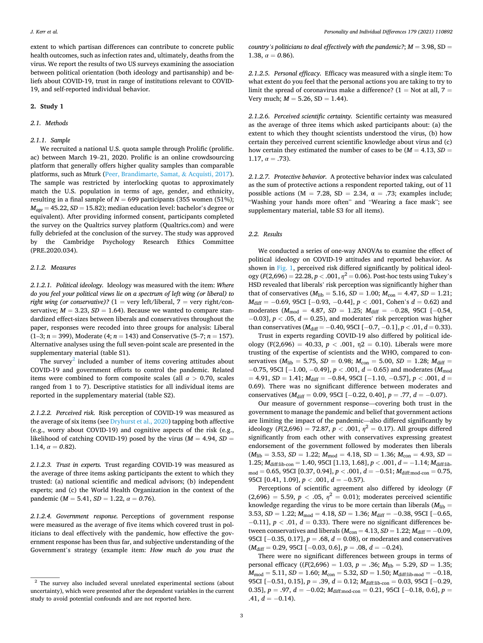extent to which partisan differences can contribute to concrete public health outcomes, such as infection rates and, ultimately, deaths from the virus. We report the results of two US surveys examining the association between political orientation (both ideology and partisanship) and beliefs about COVID-19, trust in range of institutions relevant to COVID-19, and self-reported individual behavior.

#### **2. Study 1**

### *2.1. Methods*

# *2.1.1. Sample*

We recruited a national U.S. quota sample through Prolific (prolific. ac) between March 19–21, 2020. Prolific is an online crowdsourcing platform that generally offers higher quality samples than comparable platforms, such as Mturk ([Peer, Brandimarte, Samat,](#page-8-0) & Acquisti, 2017). The sample was restricted by interlocking quotas to approximately match the U.S. population in terms of age, gender, and ethnicity, resulting in a final sample of  $N = 699$  participants (355 women (51%);  $M_{age} = 45.22$ ,  $SD = 15.82$ ); median education level: bachelor's degree or equivalent). After providing informed consent, participants completed the survey on the Qualtrics survey platform (Qualtrics.com) and were fully debriefed at the conclusion of the survey. The study was approved by the Cambridge Psychology Research Ethics Committee (PRE.2020.034).

## *2.1.2. Measures*

*2.1.2.1. Political ideology.* Ideology was measured with the item: *Where do you feel your political views lie on a spectrum of left wing (or liberal) to right wing (or conservative)?*  $(1 = \text{very left/liberal}, 7 = \text{very right/con-}$ servative;  $M = 3.23$ ,  $SD = 1.64$ ). Because we wanted to compare standardized effect-sizes between liberals and conservatives throughout the paper, responses were recoded into three groups for analysis: Liberal (1–3; *n* = 399), Moderate (4; *n* = 143) and Conservative (5–7; *n* = 157). Alternative analyses using the full seven-point scale are presented in the supplementary material (table S1).

The survey<sup>2</sup> included a number of items covering attitudes about COVID-19 and government efforts to control the pandemic. Related items were combined to form composite scales (all *α >* 0.70, scales ranged from 1 to 7). Descriptive statistics for all individual items are reported in the supplementary material (table S2).

*2.1.2.2. Perceived risk.* Risk perception of COVID-19 was measured as the average of six items (see [Dryhurst et al., 2020\)](#page-7-0) tapping both affective (e.g., worry about COVID-19) and cognitive aspects of the risk (e.g., likelihood of catching COVID-19) posed by the virus ( $M = 4.94$ ,  $SD =$ 1.14,  $\alpha = 0.82$ ).

*2.1.2.3. Trust in experts.* Trust regarding COVID-19 was measured as the average of three items asking participants the extent to which they trusted: (a) national scientific and medical advisors; (b) independent experts; and (c) the World Health Organization in the context of the pandemic ( $M = 5.41$ ,  $SD = 1.22$ ,  $\alpha = 0.76$ ).

*2.1.2.4. Government response.* Perceptions of government response were measured as the average of five items which covered trust in politicians to deal effectively with the pandemic, how effective the government response has been thus far, and subjective understanding of the Government's strategy (example item: *How much do you trust the* 

*country's politicians to deal effectively with the pandemic?;*  $M = 3.98$ *, SD =*  $\frac{M}{100}$ 1.38,  $\alpha = 0.86$ ).

*2.1.2.5. Personal efficacy.* Efficacy was measured with a single item: To what extent do you feel that the personal actions you are taking to try to limit the spread of coronavirus make a difference?  $(1 = Not at all, 7 = 1)$ Very much;  $M = 5.26$ ,  $SD = 1.44$ ).

*2.1.2.6. Perceived scientific certainty.* Scientific certainty was measured as the average of three items which asked participants about: (a) the extent to which they thought scientists understood the virus, (b) how certain they perceived current scientific knowledge about virus and (c) how certain they estimated the number of cases to be  $(M = 4.13, SD =$ 1.17,  $\alpha = .73$ ).

*2.1.2.7. Protective behavior.* A protective behavior index was calculated as the sum of protective actions a respondent reported taking, out of 11 possible actions (M = 7.28, SD = 2.34,  $\alpha$  = .73; examples include; "Washing your hands more often" and "Wearing a face mask"; see supplementary material, table S3 for all items).

### *2.2. Results*

We conducted a series of one-way ANOVAs to examine the effect of political ideology on COVID-19 attitudes and reported behavior. As shown in [Fig. 1,](#page-3-0) perceived risk differed significantly by political ideology ( $F(2,696) = 22.28, p < .001, \eta^2 = 0.06$ ). Post-hoc tests using Tukey's HSD revealed that liberals' risk perception was significantly higher than that of conservatives ( $M_{\text{lib}} = 5.16$ ,  $SD = 1.00$ ;  $M_{\text{con}} = 4.47$ ,  $SD = 1.21$ ; *M*<sub>diff</sub> = −0.69, 95CI [−0.93, −0.44], *p* < .001, Cohen's *d* = 0.62) and moderates ( $M_{\text{mod}}$  = 4.87, *SD* = 1.25;  $M_{\text{diff}}$  = −0.28, 95CI [−0.54, − 0.03], *p <* .05, *d* = 0.25), and moderates' risk perception was higher than conservatives ( $M_{\text{diff}} = -0.40, 95 \text{CI} [-0.7, -0.1], p < .01, d = 0.33$ ).

Trust in experts regarding COVID-19 also differed by political ideology (F(2,696) = 40.33,  $p < .001$ ,  $η2 = 0.10$ ). Liberals were more trusting of the expertise of scientists and the WHO, compared to conservatives ( $M_{\text{lib}} = 5.75$ ,  $SD = 0.98$ ;  $M_{\text{con}} = 5.00$ ,  $SD = 1.28$ ;  $M_{\text{diff}} =$ − 0.75, 95CI [− 1.00, − 0.49], *p <* .001, *d* = 0.65) and moderates (*M*mod = 4.91, *SD* = 1.41; *M*diff = − 0.84, 95CI [− 1.10, − 0.57], *p <* .001, *d* = 0.69). There was no significant difference between moderates and conservatives (*M*diff = 0.09, 95CI [− 0.22, 0.40], *p* = .77, *d* = − 0.07).

Our measure of government response—covering both trust in the government to manage the pandemic and belief that government actions are limiting the impact of the pandemic—also differed significantly by ideology ( $F(2,696) = 72.87$ ,  $p < .001$ ,  $\eta^2 = 0.17$ ). All groups differed significantly from each other with conservatives expressing greatest endorsement of the government followed by moderates then liberals  $(M_{\text{lib}} = 3.53, SD = 1.22; M_{\text{mod}} = 4.18, SD = 1.36; M_{\text{con}} = 4.93, SD =$ 1.25;  $M_{\text{diff:lib-con}} = 1.40$ , 95CI [1.13, 1.68],  $p < .001$ ,  $d = -1.14$ ;  $M_{\text{diff:lib-}}$  $m_{\text{mod}} = 0.65, 95 \text{CI}$  [0.37, 0.94],  $p < .001, d = -0.51; M_{\text{diff:mod-con}} = 0.75$ , 95CI [0.41, 1.09],  $p$  < .001,  $d$  = −0.57).

Perceptions of scientific agreement also differed by ideology (*F*  (2,696) = 5.59,  $p < .05$ ,  $\eta^2 = 0.01$ ); moderates perceived scientific knowledge regarding the virus to be more certain than liberals  $(M_{\text{lib}} =$ 3.53, *SD* = 1.22; *M*<sub>mod</sub> = 4.18, *SD* = 1.36; *M*<sub>diff</sub> = −0.38, 95CI [−0.65, − 0.11], *p <* .01, *d* = 0.33). There were no significant differences between conservatives and liberals ( $M_{con} = 4.13$ ,  $SD = 1.22$ ;  $M_{diff} = -0.09$ , 95CI [−0.35, 0.17], *p* = .68, *d* = 0.08), or moderates and conservatives (*M*<sub>diff</sub> = 0.29, 95CI [−0.03, 0.6], *p* = .08, *d* = −0.24).

There were no significant differences between groups in terms of personal efficacy ( $(F(2,696) = 1.03, p = .36; M_{lib} = 5.29, SD = 1.35;$  $M_{\text{mod}} = 5.11$ ,  $SD = 1.60$ ;  $M_{\text{con}} = 5.32$ ,  $SD = 1.50$ ;  $M_{\text{diff:lib-mod}} = -0.18$ , 95CI [-0.51, 0.15],  $p = .39$ ,  $d = 0.12$ ;  $M<sub>diff:lib-con</sub> = 0.03$ , 95CI [-0.29, 0.35],  $p = .97$ ,  $d = -0.02$ ;  $M_{diff:mod-con} = 0.21$ , 95CI [-0.18, 0.6],  $p =$ .41,  $d = -0.14$ ).

 $2$  The survey also included several unrelated experimental sections (about uncertainty), which were presented after the dependent variables in the current study to avoid potential confounds and are not reported here.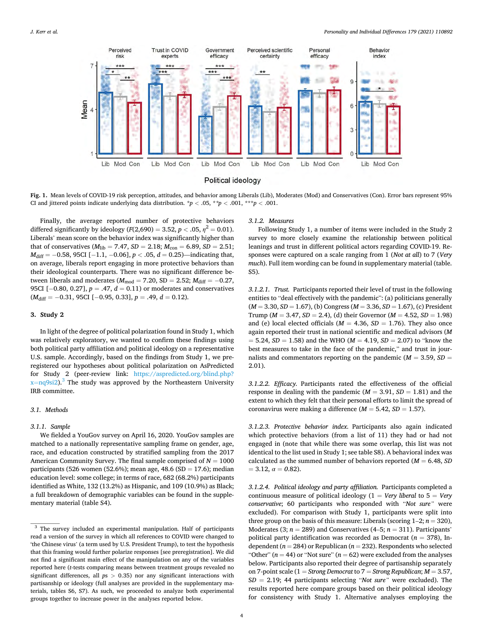<span id="page-3-0"></span>

Fig. 1. Mean levels of COVID-19 risk perception, attitudes, and behavior among Liberals (Lib), Moderates (Mod) and Conservatives (Con). Error bars represent 95% CI and jittered points indicate underlying data distribution.  $\dot{p}$  < .05,  $\dot{p}$  +  $p$  < .001, \*\*\* $p$  < .001.

Finally, the average reported number of protective behaviors differed significantly by ideology  $(F(2,690) = 3.52, p < .05, \eta^2 = 0.01)$ . Liberals' mean score on the behavior index was significantly higher than that of conservatives  $(M_{\text{lib}} = 7.47, SD = 2.18; M_{\text{con}} = 6.89, SD = 2.51;$ *M*<sub>diff</sub> = −0.58, 95CI [−1.1, −0.06], *p* < .05, *d* = 0.25)—indicating that, on average, liberals report engaging in more protective behaviors than their ideological counterparts. There was no significant difference between liberals and moderates ( $M_{mod} = 7.20$ , SD = 2.52;  $M_{diff} = -0.27$ , 95CI [-0.80, 0.27], *p* = .47, *d* = 0.11) or moderates and conservatives (*M*diff = − 0.31, 95CI [− 0.95, 0.33], *p* = .49, *d* = 0.12).

### **3. Study 2**

In light of the degree of political polarization found in Study 1, which was relatively exploratory, we wanted to confirm these findings using both political party affiliation and political ideology on a representative U.S. sample. Accordingly, based on the findings from Study 1, we preregistered our hypotheses about political polarization on AsPredicted for Study 2 (peer-review link: [https://aspredicted.org/blind.php?](https://aspredicted.org/blind.php?x=nq9si2)   $x=nq9si2$  $x=nq9si2$ ).<sup>3</sup> The study was approved by the Northeastern University IRB committee.

## *3.1. Methods*

# *3.1.1. Sample*

We fielded a YouGov survey on April 16, 2020. YouGov samples are matched to a nationally representative sampling frame on gender, age, race, and education constructed by stratified sampling from the 2017 American Community Survey. The final sample comprised of  $N = 1000$ participants (526 women (52.6%); mean age, 48.6 (SD = 17.6); median education level: some college; in terms of race, 682 (68.2%) participants identified as White, 132 (13.2%) as Hispanic, and 109 (10.9%) as Black; a full breakdown of demographic variables can be found in the supplementary material (table S4).

#### *3.1.2. Measures*

Following Study 1, a number of items were included in the Study 2 survey to more closely examine the relationship between political leanings and trust in different political actors regarding COVID-19. Responses were captured on a scale ranging from 1 (*Not at all*) to 7 (*Very much*). Full item wording can be found in supplementary material (table. S5).

*3.1.2.1. Trust.* Participants reported their level of trust in the following entities to "deal effectively with the pandemic": (a) politicians generally  $(M = 3.30, SD = 1.67)$ , (b) Congress  $(M = 3.36, SD = 1.67)$ , (c) President Trump ( $M = 3.47$ ,  $SD = 2.4$ ), (d) their Governor ( $M = 4.52$ ,  $SD = 1.98$ ) and (e) local elected officials ( $M = 4.36$ ,  $SD = 1.76$ ). They also once again reported their trust in national scientific and medical advisors (*M*   $= 5.24, SD = 1.58$ ) and the WHO ( $M = 4.19, SD = 2.07$ ) to "know the best measures to take in the face of the pandemic," and trust in journalists and commentators reporting on the pandemic  $(M = 3.59, SD =$ 2.01).

*3.1.2.2. Efficacy.* Participants rated the effectiveness of the official response in dealing with the pandemic  $(M = 3.91, SD = 1.81)$  and the extent to which they felt that their personal efforts to limit the spread of coronavirus were making a difference  $(M = 5.42, SD = 1.57)$ .

*3.1.2.3. Protective behavior index.* Participants also again indicated which protective behaviors (from a list of 11) they had or had not engaged in (note that while there was some overlap, this list was not identical to the list used in Study 1; see table S8). A behavioral index was calculated as the summed number of behaviors reported  $(M = 6.48, SD)$  $= 3.12, \alpha = 0.82$ .

*3.1.2.4. Political ideology and party affiliation.* Participants completed a continuous measure of political ideology  $(1 = V$ ery *liberal* to  $5 = V$ ery *conservative*; 60 participants who responded with "*Not sure"* were excluded). For comparison with Study 1, participants were split into three group on the basis of this measure: Liberals (scoring  $1-2$ ;  $n = 320$ ), Moderates (3;  $n = 289$ ) and Conservatives (4–5;  $n = 311$ ). Participants' political party identification was recorded as Democrat ( $n = 378$ ), Independent ( $n = 284$ ) or Republican ( $n = 232$ ). Respondents who selected "Other" ( $n = 44$ ) or "Not sure" ( $n = 62$ ) were excluded from the analyses below. Participants also reported their degree of partisanship separately on 7-point scale (1 = *Strong Democrat* to 7 = *Strong Republican*; *M* = 3.57, S*D* = 2.19; 44 participants selecting "*Not sure"* were excluded). The results reported here compare groups based on their political ideology for consistency with Study 1. Alternative analyses employing the

<sup>&</sup>lt;sup>3</sup> The survey included an experimental manipulation. Half of participants read a version of the survey in which all references to COVID were changed to 'the Chinese virus' (a term used by U.S. President Trump), to test the hypothesis that this framing would further polarize responses [see preregistration]. We did not find a significant main effect of the manipulation on any of the variables reported here (*t*-tests comparing means between treatment groups revealed no significant differences, all *p*s *>* 0.35) nor any significant interactions with partisanship or ideology (full analyses are provided in the supplementary materials, tables S6, S7). As such, we proceeded to analyze both experimental groups together to increase power in the analyses reported below.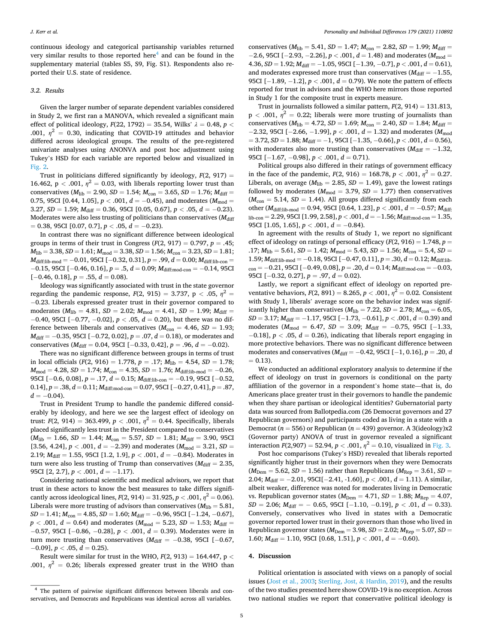continuous ideology and categorical partisanship variables returned very similar results to those reported here $4$  and can be found in the supplementary material (tables S5, S9, Fig. S1). Respondents also reported their U.S. state of residence.

### *3.2. Results*

Given the larger number of separate dependent variables considered in Study 2, we first ran a MANOVA, which revealed a significant main effect of political ideology, *F*(22, 1792) = 35.54, Wilks' *λ* = 0.48, *p <* .001,  $\eta^2$  = 0.30, indicating that COVID-19 attitudes and behavior differed across ideological groups. The results of the pre-registered univariate analyses using ANONVA and post hoc adjustment using Tukey's HSD for each variable are reported below and visualized in [Fig. 2.](#page-5-0)

Trust in politicians differed significantly by ideology,  $F(2, 917) =$ 16.462,  $p < .001$ ,  $\eta^2 = 0.03$ , with liberals reporting lower trust than conservatives  $(M_{\text{lib}} = 2.90, SD = 1.54; M_{\text{con}} = 3.65, SD = 1.76; M_{\text{diff}} =$ 0.75, 95CI [0.44, 1.05],  $p < .001$ ,  $d = -0.45$ ), and moderates ( $M_{\text{mod}} =$ 3.27,  $SD = 1.59$ ;  $M_{\text{diff}} = 0.36$ , 95CI [0.05, 0.67],  $p < .05$ ,  $d = -0.23$ ). Moderates were also less trusting of politicians than conservatives ( $M_{\text{diff}}$ ) = 0.38, 95CI [0.07, 0.7], *p <* .05, *d* = − 0.23).

In contrast there was no significant difference between ideological groups in terms of their trust in Congress  $(F(2, 917) = 0.797, p = .45;$  $M_{\text{lib}} = 3.38, SD = 1.61; M_{\text{mod}} = 3.38, SD = 1.56; M_{\text{con}} = 3.23, SD = 1.81;$ *M*<sub>diff:lib-mod</sub> = −0.01, 95CI [−0.32, 0.31], *p* = .99, *d* = 0.00; *M*<sub>diff:lib-con</sub> = − 0.15, 95CI [− 0.46, 0.16], *p* = .5, *d* = 0.09; *M*diff:mod-con = − 0.14, 95CI [− 0.46, 0.18], *p* = .55, *d* = 0.08).

Ideology was significantly associated with trust in the state governor regarding the pandemic response,  $F(2, 915) = 3.737$ ,  $p < .05$ ,  $\eta^2 =$ − 0.23. Liberals expressed greater trust in their governor compared to moderates ( $M_{\text{lib}} = 4.81$ ,  $SD = 2.02$ ;  $M_{\text{mod}} = 4.41$ ,  $SD = 1.99$ ;  $M_{\text{diff}} =$ − 0.40, 95CI [− 0.77, − 0.02], *p <* .05, *d* = 0.20), but there was no difference between liberals and conservatives  $(M_{con} = 4.46, SD = 1.93;$ *M*<sub>diff</sub> = −0.35, 95CI [−0.72, 0.02], *p* = .07, *d* = 0.18), or moderates and conservatives ( $M_{\text{diff}} = 0.04$ , 95CI [−0.33, 0.42],  $p = .96$ ,  $d = -0.02$ ).

There was no significant difference between groups in terms of trust in local officials ( $F(2, 916) = 1.778$ ,  $p = .17$ ;  $M_{\text{lib}} = 4.54$ ,  $SD = 1.78$ ;  $M_{\text{mod}} = 4.28$ ,  $SD = 1.74$ ;  $M_{\text{con}} = 4.35$ ,  $SD = 1.76$ ;  $M_{\text{diff:lib-mod}} = -0.26$ , 95CI [-0.6, 0.08],  $p = .17$ ,  $d = 0.15$ ;  $M<sub>diff:lib-con</sub> = -0.19$ , 95CI [-0.52, 0.14], *p* = .38, *d* = 0.11; *M*<sub>diff:mod-con</sub> = 0.07, 95CI [−0.27, 0.41], *p* = .87,  $d = -0.04$ .

Trust in President Trump to handle the pandemic differed considerably by ideology, and here we see the largest effect of ideology on trust:  $F(2, 914) = 363.499$ ,  $p < .001$ ,  $\eta^2 = 0.44$ . Specifically, liberals placed significantly less trust in the President compared to conservatives  $(M_{\text{lib}} = 1.66, SD = 1.44; M_{\text{con}} = 5.57, SD = 1.81; M_{\text{diff}} = 3.90, 95CI$ [3.56, 4.24],  $p < .001$ ,  $d = -2.39$ ) and moderates ( $M_{\text{mod}} = 3.21$ ,  $SD =$ 2.19; *M*<sub>diff</sub> = 1.55, 95CI [1.2, 1.9], *p* < .001, *d* = −0.84). Moderates in turn were also less trusting of Trump than conservatives ( $M_{\text{diff}} = 2.35$ , 95CI [2, 2.7], *p <* .001, *d* = − 1.17).

Considering national scientific and medical advisors, we report that trust in these actors to know the best measures to take differs significantly across ideological lines,  $F(2, 914) = 31.925$ ,  $p < .001$ ,  $\eta^2 = 0.06$ ). Liberals were more trusting of advisors than conservatives  $(M_{\text{lib}} = 5.81,$ *SD* = 1.41; *M*<sub>con</sub> = 4.85, *SD* = 1.60; *M*<sub>diff</sub> = −0.96, 95CI [−1.24, −0.67],  $p < .001$ ,  $d = 0.64$ ) and moderates ( $M_{\text{mod}} = 5.23$ ,  $SD = 1.53$ ;  $M_{\text{diff}} =$ − 0.57, 95CI [− 0.86, − 0.28], *p <* .001, *d* = 0.39). Moderates were in turn more trusting than conservatives ( $M_{\text{diff}} = -0.38$ , 95CI [-0.67, − 0.09], *p <* .05, *d* = 0.25).

Result were similar for trust in the WHO, *F*(2, 913) = 164.447, p *<* .001,  $\eta^2$  = 0.26; liberals expressed greater trust in the WHO than conservatives ( $M_{\text{lib}} = 5.41$ ,  $SD = 1.47$ ;  $M_{\text{con}} = 2.82$ ,  $SD = 1.99$ ;  $M_{\text{diff}} =$ − 2.6, 95CI [− 2.93, − 2.26], *p <* .001, *d* = 1.48) and moderates (*M*mod =  $4.36, SD = 1.92; M<sub>diff</sub> = -1.05, 95CI [-1.39, -0.7], p < .001, d = 0.61$ and moderates expressed more trust than conservatives  $(M<sub>diff</sub> = -1.55,$ 95CI [-1.89, -1.2], *p* < .001, *d* = 0.79). We note the pattern of effects reported for trust in advisors and the WHO here mirrors those reported in Study 1 for the composite trust in experts measure.

Trust in journalists followed a similar pattern, *F*(2, 914) = 131.813,  $p < .001$ ,  $\eta^2 = 0.22$ ; liberals were more trusting of journalists than conservatives ( $M_{\text{lib}} = 4.72$ ,  $SD = 1.69$ ;  $M_{\text{con}} = 2.40$ ,  $SD = 1.84$ ;  $M_{\text{diff}} =$ − 2.32, 95CI [− 2.66, − 1.99], *p <* .001, *d* = 1.32) and moderates (*M*mod = 3.72, *SD* = 1.88; *M*diff = − 1, 95CI [− 1.35, − 0.66], *p <* .001, *d* = 0.56), with moderates also more trusting than conservatives ( $M_{\text{diff}} = -1.32$ , 95CI [− 1.67, − 0.98], *p <* .001, *d* = 0.71).

Political groups also differed in their ratings of government efficacy in the face of the pandemic,  $F(2, 916) = 168.78$ ,  $p < .001$ ,  $\eta^2 = 0.27$ . Liberals, on average ( $M_{\text{lib}} = 2.85$ ,  $SD = 1.49$ ), gave the lowest ratings followed by moderates ( $M_{\text{mod}} = 3.79$ ,  $SD = 1.77$ ) then conservatives  $(M_{\text{con}} = 5.14, SD = 1.44)$ . All groups differed significantly from each other ( $M_{\text{diff:lib-mod}} = 0.94$ , 95CI [0.64, 1.23],  $p < .001$ ,  $d = -0.57$ ;  $M_{\text{diff}}$  $l_{\text{lib-con}} = 2.29, 95 \text{CI} [1.99, 2.58], p < .001, d = -1.56; M_{\text{diff:mod-con}} = 1.35,$ 95CI  $[1.05, 1.65]$ ,  $p < .001$ ,  $d = -0.84$ ).

In agreement with the results of Study 1, we report no significant effect of ideology on ratings of personal efficacy  $(F(2, 916) = 1.748, p =$  $.17$ ;  $M_{\text{lib}} = 5.61$ ,  $SD = 1.42$ ;  $M_{\text{mod}} = 5.43$ ,  $SD = 1.56$ ;  $M_{\text{con}} = 5.4$ ,  $SD = 1.56$ 1.59;  $M_{\text{diff:lib-mod}} = -0.18$ , 95CI  $[-0.47, 0.11]$ ,  $p = .30$ ,  $d = 0.12$ ;  $M_{\text{diff:lib}}$ con = − 0.21, 95CI [− 0.49, 0.08], *p* = .20, *d* = 0.14; *M*diff:mod-con = − 0.03, 95CI [-0.32, 0.27], *p* = .97, *d* = 0.02).

Lastly, we report a significant effect of ideology on reported preventative behaviors,  $F(2, 891) = 8.265$ ,  $p < .001$ ,  $\eta^2 = 0.02$ . Consistent with Study 1, liberals' average score on the behavior index was significantly higher than conservatives ( $M_{\text{lib}} = 7.22$ ,  $SD = 2.78$ ;  $M_{\text{con}} = 6.05$ , *SD* = 3.17; *M*<sub>diff</sub> = −1.17, 95CI [−1.73, −0.61], *p* < .001, *d* = 0.39) and moderates ( $M_{\text{mod}}$  = 6.47, *SD* = 3.09;  $M_{\text{diff}}$  = −0.75, 95CI [−1.33, − 0.18], *p <* .05, *d* = 0.26), indicating that liberals report engaging in more protective behaviors. There was no significant difference between moderates and conservatives ( $M_{\text{diff}}$  = −0.42, 95CI [−1, 0.16], *p* = .20, *d*  $= 0.13$ .

We conducted an additional exploratory analysis to determine if the effect of ideology on trust in governors is conditional on the party affiliation of the governor in a respondent's home state—that is, do Americans place greater trust in their governors to handle the pandemic when they share partisan or ideological identities? Gubernatorial party data was sourced from Ballotpedia.com (26 Democrat governors and 27 Republican governors) and participants coded as living in a state with a Democrat ( $n = 556$ ) or Republican ( $n = 439$ ) governor. A 3(ideology)x2 (Governor party) ANOVA of trust in governor revealed a significant interaction  $F(2,907) = 52.94$ ,  $p < .001$ ,  $\eta^2 = 0.10$ , visualized in [Fig. 3.](#page-5-0)

Post hoc comparisons (Tukey's HSD) revealed that liberals reported significantly higher trust in their governors when they were Democrats  $(M_{\text{Dem}} = 5.62, SD = 1.56)$  rather than Republicans ( $M_{\text{Ren}} = 3.61, SD = 1.56$ ) 2.04; *M*<sub>diff</sub> = −2.01, 95CI[−2.41, -1.60], *p* < .001, *d* = 1.11). A similar, albeit weaker, difference was noted for moderates living in Democratic vs. Republican governor states ( $M_{\text{Dem}} = 4.71$ ,  $SD = 1.88$ ;  $M_{\text{Rep}} = 4.07$ ,  $SD = 2.06$ ;  $M_{\text{diff}} = -0.65$ , 95CI [-1.10, -0.19],  $p < .01$ ,  $d = 0.33$ ). Conversely, conservatives who lived in states with a Democratic governor reported lower trust in their governors than those who lived in Republican governor states ( $M_{\text{Dem}} = 3.98$ ,  $SD = 2.02$ ;  $M_{\text{Rep}} = 5.07$ ,  $SD =$ 1.60;  $M_{\text{diff}} = 1.10$ , 95CI [0.68, 1.51],  $p < .001$ ,  $d = -0.60$ ).

#### **4. Discussion**

Political orientation is associated with views on a panoply of social issues [\(Jost et al., 2003](#page-7-0); [Sterling, Jost,](#page-8-0) & Hardin, 2019), and the results of the two studies presented here show COVID-19 is no exception. Across two national studies we report that conservative political ideology is

<sup>4</sup> The pattern of pairwise significant differences between liberals and conservatives, and Democrats and Republicans was identical across all variables.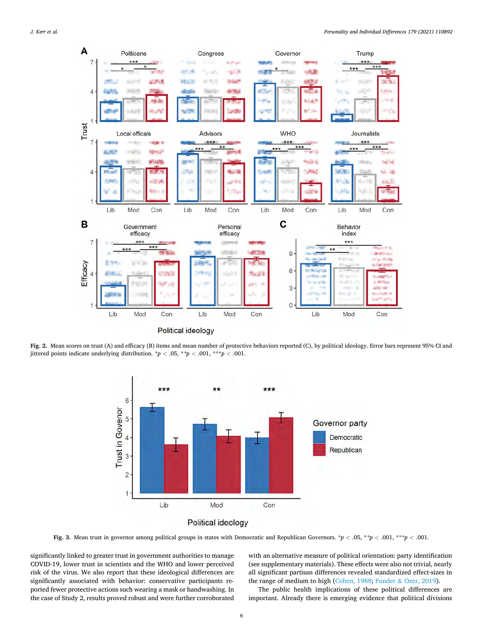<span id="page-5-0"></span>*J. Kerr et al.* 



**Fig. 2.** Mean scores on trust (A) and efficacy (B) items and mean number of protective behaviors reported (C), by political ideology. Error bars represent 95% CI and jittered points indicate underlying distribution.  $\dot{p}$  < .05,  $\dot{p}$  +  $\dot{p}$  < .001,  $\dot{p}$  +  $\dot{p}$  < .001.



**Fig. 3.** Mean trust in governor among political groups in states with Democratic and Republican Governors. \**p <* .05, \**\*p <* .001, \*\*\**p <* .001.

significantly linked to greater trust in government authorities to manage COVID-19, lower trust in scientists and the WHO and lower perceived risk of the virus. We also report that these ideological differences are significantly associated with behavior: conservative participants reported fewer protective actions such wearing a mask or handwashing. In the case of Study 2, results proved robust and were further corroborated with an alternative measure of political orientation: party identification (see supplementary materials). These effects were also not trivial, nearly all significant partisan differences revealed standardized effect-sizes in the range of medium to high ([Cohen, 1988](#page-7-0); Funder & [Ozer, 2019](#page-7-0)).

The public health implications of these political differences are important. Already there is emerging evidence that political divisions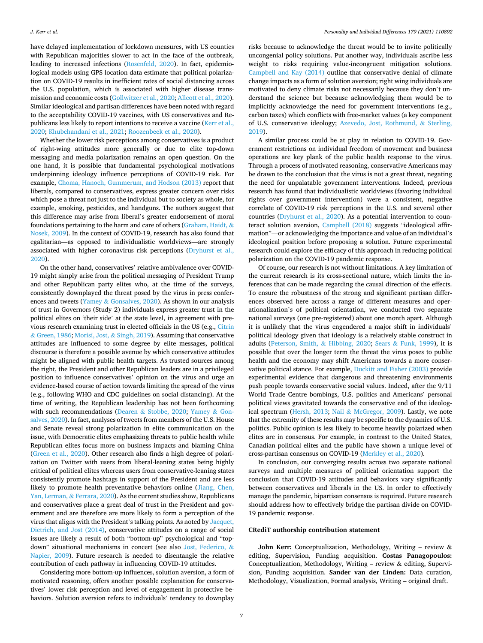have delayed implementation of lockdown measures, with US counties with Republican majorities slower to act in the face of the outbreak, leading to increased infections [\(Rosenfeld, 2020\)](#page-8-0). In fact, epidemiological models using GPS location data estimate that political polarization on COVID-19 results in inefficient rates of social distancing across the U.S. population, which is associated with higher disease transmission and economic costs [\(Gollwitzer et al., 2020](#page-7-0); [Allcott et al., 2020](#page-7-0)). Similar ideological and partisan differences have been noted with regard to the acceptability COVID-19 vaccines, with US conservatives and Republicans less likely to report intentions to receive a vaccine (Kerr et al., [2020; Khubchandani et al., 2021;](#page-7-0) [Roozenbeek et al., 2020](#page-8-0)).

Whether the lower risk perceptions among conservatives is a product of right-wing attitudes more generally or due to elite top-down messaging and media polarization remains an open question. On the one hand, it is possible that fundamental psychological motivations underpinning ideology influence perceptions of COVID-19 risk. For example, [Choma, Hanoch, Gummerum, and Hodson \(2013\)](#page-7-0) report that liberals, compared to conservatives, express greater concern over risks which pose a threat not just to the individual but to society as whole, for example, smoking, pesticides, and handguns. The authors suggest that this difference may arise from liberal's greater endorsement of moral foundations pertaining to the harm and care of others ([Graham, Haidt,](#page-7-0)  $\&$ [Nosek, 2009](#page-7-0)). In the context of COVID-19, research has also found that egalitarian—as opposed to individualistic worldviews—are strongly associated with higher coronavirus risk perceptions ([Dryhurst et al.,](#page-7-0)  [2020\)](#page-7-0).

On the other hand, conservatives' relative ambivalence over COVID-19 might simply arise from the political messaging of President Trump and other Republican party elites who, at the time of the surveys, consistently downplayed the threat posed by the virus in press conferences and tweets (Yamey & [Gonsalves, 2020](#page-8-0)). As shown in our analysis of trust in Governors (Study 2) individuals express greater trust in the political elites on 'their side' at the state level, in agreement with previous research examining trust in elected officials in the US (e.g., [Citrin](#page-7-0)  & [Green, 1986](#page-7-0); [Morisi, Jost,](#page-7-0) & Singh, 2019). Assuming that conservative attitudes are influenced to some degree by elite messages, political discourse is therefore a possible avenue by which conservative attitudes might be aligned with public health targets. As trusted sources among the right, the President and other Republican leaders are in a privileged position to influence conservatives' opinion on the virus and urge an evidence-based course of action towards limiting the spread of the virus (e.g., following WHO and CDC guidelines on social distancing). At the time of writing, the Republican leadership has not been forthcoming with such recommendations (Dearen & [Stobbe, 2020;](#page-7-0) [Yamey](#page-8-0) & Gon[salves, 2020](#page-8-0)). In fact, analyses of tweets from members of the U.S. House and Senate reveal strong polarization in elite communication on the issue, with Democratic elites emphasizing threats to public health while Republican elites focus more on business impacts and blaming China ([Green et al., 2020](#page-7-0)). Other research also finds a high degree of polarization on Twitter with users from liberal-leaning states being highly critical of political elites whereas users from conservative-leaning states consistently promote hashtags in support of the President and are less likely to promote health preventative behaviors online ([Jiang, Chen,](#page-7-0)  [Yan, Lerman,](#page-7-0) & Ferrara, 2020). As the current studies show, Republicans and conservatives place a great deal of trust in the President and government and are therefore are more likely to form a perception of the virus that aligns with the President's talking points. As noted by [Jacquet,](#page-7-0)  [Dietrich, and Jost \(2014\)](#page-7-0), conservative attitudes on a range of social issues are likely a result of both "bottom-up" psychological and "topdown" situational mechanisms in concert (see also [Jost, Federico,](#page-7-0) & [Napier, 2009](#page-7-0)). Future research is needed to disentangle the relative contribution of each pathway in influencing COVID-19 attitudes.

Considering more bottom-up influences, solution aversion, a form of motivated reasoning, offers another possible explanation for conservatives' lower risk perception and level of engagement in protective behaviors. Solution aversion refers to individuals' tendency to downplay

risks because to acknowledge the threat would be to invite politically uncongenial policy solutions. Put another way, individuals ascribe less weight to risks requiring value-incongruent mitigation solutions. [Campbell and Kay \(2014\)](#page-7-0) outline that conservative denial of climate change impacts as a form of solution aversion; right wing individuals are motivated to deny climate risks not necessarily because they don't understand the science but because acknowledging them would be to implicitly acknowledge the need for government interventions (e.g., carbon taxes) which conflicts with free-market values (a key component of U.S. conservative ideology; [Azevedo, Jost, Rothmund,](#page-7-0) & Sterling, [2019\)](#page-7-0).

A similar process could be at play in relation to COVID-19. Government restrictions on individual freedom of movement and business operations are key plank of the public health response to the virus. Through a process of motivated reasoning, conservative Americans may be drawn to the conclusion that the virus is not a great threat, negating the need for unpalatable government interventions. Indeed, previous research has found that individualistic worldviews (favoring individual rights over government intervention) were a consistent, negative correlate of COVID-19 risk perceptions in the U.S. and several other countries [\(Dryhurst et al., 2020](#page-7-0)). As a potential intervention to counteract solution aversion, [Campbell \(2018\)](#page-7-0) suggests "ideological affirmation"—or acknowledging the importance and value of an individual's ideological position before proposing a solution. Future experimental research could explore the efficacy of this approach in reducing political polarization on the COVID-19 pandemic response.

Of course, our research is not without limitations. A key limitation of the current research is its cross-sectional nature, which limits the inferences that can be made regarding the causal direction of the effects. To ensure the robustness of the strong and significant partisan differences observed here across a range of different measures and operationalization's of political orientation, we conducted two separate national surveys (one pre-registered) about one month apart. Although it is unlikely that the virus engendered a major shift in individuals' political ideology given that ideology is a relatively stable construct in adults [\(Peterson, Smith,](#page-8-0) & Hibbing, 2020; Sears & [Funk, 1999](#page-8-0)), it is possible that over the longer term the threat the virus poses to public health and the economy may shift Americans towards a more conservative political stance. For example, [Duckitt and Fisher \(2003\)](#page-7-0) provide experimental evidence that dangerous and threatening environments push people towards conservative social values. Indeed, after the 9/11 World Trade Centre bombings, U.S. politics and Americans' personal political views gravitated towards the conservative end of the ideological spectrum ([Hersh, 2013;](#page-7-0) Nail & [McGregor, 2009\)](#page-7-0). Lastly, we note that the extremity of these results may be specific to the dynamics of U.S. politics. Public opinion is less likely to become heavily polarized when elites are in consensus. For example, in contrast to the United States, Canadian political elites and the public have shown a unique level of cross-partisan consensus on COVID-19 [\(Merkley et al., 2020\)](#page-7-0).

In conclusion, our converging results across two separate national surveys and multiple measures of political orientation support the conclusion that COVID-19 attitudes and behaviors vary significantly between conservatives and liberals in the US. In order to effectively manage the pandemic, bipartisan consensus is required. Future research should address how to effectively bridge the partisan divide on COVID-19 pandemic response.

#### **CRediT authorship contribution statement**

**John Kerr:** Conceptualization, Methodology, Writing – review & editing, Supervision, Funding acquisition. **Costas Panagopoulos:**  Conceptualization, Methodology, Writing – review & editing, Supervision, Funding acquisition. **Sander van der Linden:** Data curation, Methodology, Visualization, Formal analysis, Writing – original draft.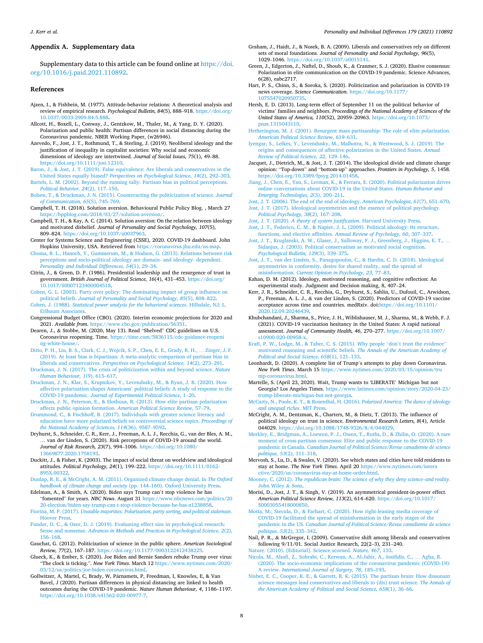#### <span id="page-7-0"></span>**Appendix A. Supplementary data**

Supplementary data to this article can be found online at [https://doi.](https://doi.org/10.1016/j.paid.2021.110892)  [org/10.1016/j.paid.2021.110892.](https://doi.org/10.1016/j.paid.2021.110892)

## **References**

- Ajzen, I., & Fishbein, M. (1977). Attitude-behavior relations: A theoretical analysis and review of empirical research. *Psychological Bulletin*, 84(5), 888-918. https:// [10.1037/0033-2909.84.5.888.](https://doi.org/10.1037/0033-2909.84.5.888)
- Allcott, H., Boxell, L., Conway, J., Gentzkow, M., Thaler, M., & Yang, D. Y. (2020). Polarization and public health: Partisan differences in social distancing during the Coronavirus pandemic. NBER Working Paper, (w26946).
- Azevedo, F., Jost, J. T., Rothmund, T., & Sterling, J. (2019). Neoliberal ideology and the justification of inequality in capitalist societies: Why social and economic dimensions of ideology are intertwined. *Journal of Social Issues, 75*(1), 49–88. [https://doi.org/10.1111/josi.12310.](https://doi.org/10.1111/josi.12310)
- [Baron, J., & Jost, J. T. \(2019\). False equivalence: Are liberals and conservatives in the](http://refhub.elsevier.com/S0191-8869(21)00267-1/rf0015) United States equally biased? *[Perspectives on Psychological Science, 14](http://refhub.elsevier.com/S0191-8869(21)00267-1/rf0015)*(2), 292–303.

[Bartels, L. M. \(2002\). Beyond the running tally: Partisan bias in political perceptions.](http://refhub.elsevier.com/S0191-8869(21)00267-1/rf0020) *[Political Behavior, 24](http://refhub.elsevier.com/S0191-8869(21)00267-1/rf0020)*(2), 117–150.

- [Bolsen, T., & Druckman, J. N. \(2015\). Counteracting the politicization of science.](http://refhub.elsevier.com/S0191-8869(21)00267-1/rf0025) *Journal [of Communication, 65](http://refhub.elsevier.com/S0191-8869(21)00267-1/rf0025)*(5), 745–769.
- Campbell, T. H. (2018). Solution aversion. Behavioural Public Policy Blog. , March 27 <https://bppblog.com/2018/03/27/solution-aversion/>.
- Campbell, T. H., & Kay, A. C. (2014). Solution aversion: On the relation between ideology and motivated disbelief. *Journal of Personality and Social Psychology, 107*(5), 809–824. <https://doi.org/10.1037/a0037963>.
- Center for Systems Science and Engineering (CSSE), 2020. COVID-19 dashboard. John Hopkins University, USA. Retrieved from [https://coronavirus.jhu.edu/us-map.](https://coronavirus.jhu.edu/us-map)
- [Choma, B. L., Hanoch, Y., Gummerum, M., & Hodson, G. \(2013\). Relations between risk](http://refhub.elsevier.com/S0191-8869(21)00267-1/rf0040)  [perceptions and socio-political ideology are domain- and ideology- dependent.](http://refhub.elsevier.com/S0191-8869(21)00267-1/rf0040) *[Personality and Individual Differences, 54](http://refhub.elsevier.com/S0191-8869(21)00267-1/rf0040)*(1), 29–34.
- Citrin, J., & Green, D. P. (1986). Presidential leadership and the resurgence of trust in government. *British Journal of Political Science, 16*(4), 431–453. [https://doi.org/](https://doi.org/10.1017/S0007123400004518)  [10.1017/S0007123400004518.](https://doi.org/10.1017/S0007123400004518)
- [Cohen, G. L. \(2003\). Party over policy: The dominating impact of group influence on](http://refhub.elsevier.com/S0191-8869(21)00267-1/rf0050)  political beliefs. *[Journal of Personality and Social Psychology, 85](http://refhub.elsevier.com/S0191-8869(21)00267-1/rf0050)*(5), 808–822. Cohen, J. (1988). *[Statistical power analysis for the behavioral sciences](http://refhub.elsevier.com/S0191-8869(21)00267-1/rf0055)*. Hillsdale, NJ: L.
- [Erlbaum Associates](http://refhub.elsevier.com/S0191-8869(21)00267-1/rf0055). Congressional Budget Office (CBO). (2020). Interim economic projections for 2020 and
- 2021. *Available from*.<https://www.cbo.gov/publication/56351>. Dearen, J., & Stobbe, M. (2020, May 13). Read "Shelved" CDC guidelines on U.S. Coronavirus reopening. Time. [https://time.com/5836115/cdc-guidance-reopeni](https://time.com/5836115/cdc-guidance-reopening-white-house/)  [ng-white-house/](https://time.com/5836115/cdc-guidance-reopening-white-house/).
- [Ditto, P. H., Liu, B. S., Clark, C. J., Wojcik, S. P., Chen, E. E., Grady, R. H.,](http://refhub.elsevier.com/S0191-8869(21)00267-1/rf0065) … Zinger, J. F. [\(2019\). At least bias is bipartisan: A meta-analytic comparison of partisan bias in](http://refhub.elsevier.com/S0191-8869(21)00267-1/rf0065)  liberals and conservatives. *[Perspectives on Psychological Science, 14](http://refhub.elsevier.com/S0191-8869(21)00267-1/rf0065)*(2), 273–291.
- [Druckman, J. N. \(2017\). The crisis of politicization within and beyond science.](http://refhub.elsevier.com/S0191-8869(21)00267-1/rf0070) *Nature [Human Behaviour, 1](http://refhub.elsevier.com/S0191-8869(21)00267-1/rf0070)*(9), 615–617.
- [Druckman, J. N., Klar, S., Krupnikov, Y., Levendusky, M., & Ryan, J. B. \(2020\). How](http://refhub.elsevier.com/S0191-8869(21)00267-1/rf0075) affective polarization shapes Americans' [political beliefs: A study of response to the](http://refhub.elsevier.com/S0191-8869(21)00267-1/rf0075)  COVID-19 pandemic. *[Journal of Experimental Political Science](http://refhub.elsevier.com/S0191-8869(21)00267-1/rf0075)*, 1–20.
- [Druckman, J. N., Peterson, E., & Slothuus, R. \(2013\). How elite partisan polarization](http://refhub.elsevier.com/S0191-8869(21)00267-1/rf0080) [affects public opinion formation.](http://refhub.elsevier.com/S0191-8869(21)00267-1/rf0080) *American Political Science Review*, 57–79.
- [Drummond, C., & Fischhoff, B. \(2017\). Individuals with greater science literacy and](http://refhub.elsevier.com/S0191-8869(21)00267-1/rf0085) [education have more polarized beliefs on controversial science topics.](http://refhub.elsevier.com/S0191-8869(21)00267-1/rf0085) *Proceedings of [the National Academy of Sciences, 114](http://refhub.elsevier.com/S0191-8869(21)00267-1/rf0085)*(36), 9587–9592.
- Dryhurst, S., Schneider, C. R., Kerr, J., Freeman, A. L. J., Recchia, G., van der Bles, A. M., van der Linden, S. (2020). Risk perceptions of COVID-19 around the world. *Journal of Risk Research, 23*(7), 994–1006. [https://doi.org/10.1080/](https://doi.org/10.1080/13669877.2020.1758193) [13669877.2020.1758193](https://doi.org/10.1080/13669877.2020.1758193).
- Duckitt, J., & Fisher, K. (2003). The impact of social threat on worldview and ideological attitudes. *Political Psychology, 24*(1), 199–222. [https://doi.org/10.1111/0162-](https://doi.org/10.1111/0162-895X.00322) [895X.00322](https://doi.org/10.1111/0162-895X.00322).
- [Dunlap, R. E., & McCright, A. M. \(2011\). Organized climate change denial. In](http://refhub.elsevier.com/S0191-8869(21)00267-1/rf0100) *The Oxford [handbook of climate change and society](http://refhub.elsevier.com/S0191-8869(21)00267-1/rf0100)* (pp. 144–160). Oxford University Press.
- Edelman, A., & Smith, A. (2020). Biden says Trump can't stop violence he has "fomented" for years. *NBC News*. August 31 [https://www.nbcnews.com/politics/20](https://www.nbcnews.com/politics/2020-election/biden-say-trump-can-t-stop-violence-because-he-has-n1238858)  [20-election/biden-say-trump-can-t-stop-violence-because-he-has-n1238858](https://www.nbcnews.com/politics/2020-election/biden-say-trump-can-t-stop-violence-because-he-has-n1238858).
- Fiorina, M. P. (2017). *[Unstable majorities: Polarization, party sorting, and political stalemate](http://refhub.elsevier.com/S0191-8869(21)00267-1/rf0110)*. [Hoover Press.](http://refhub.elsevier.com/S0191-8869(21)00267-1/rf0110)
- [Funder, D. C., & Ozer, D. J. \(2019\). Evaluating effect size in psychological research:](http://refhub.elsevier.com/S0191-8869(21)00267-1/rf0115)  Sense and nonsense. *[Advances in Methods and Practices in Psychological Science, 2](http://refhub.elsevier.com/S0191-8869(21)00267-1/rf0115)*(2), 156–[168](http://refhub.elsevier.com/S0191-8869(21)00267-1/rf0115).
- Gauchat, G. (2012). Politicization of science in the public sphere. *American Sociological Review, 77*(2), 167–187. <https://doi.org/10.1177/0003122412438225>.
- Glueck, K., & Ember, S. (2020). Joe Biden and Bernie Sanders rebuke Trump over virus: "The clock is ticking.". *New York Times*. March 12 [https://www.nytimes.com/2020/](https://www.nytimes.com/2020/03/12/us/politics/joe-biden-coronavirus.html)  [03/12/us/politics/joe-biden-coronavirus.html.](https://www.nytimes.com/2020/03/12/us/politics/joe-biden-coronavirus.html)
- Gollwitzer, A, Martel, C, Brady, W, Pärnamets, P, Freedman, I, Knowles, E, & Van Bavel, J (2020). Partisan differences in physical distancing are linked to health outcomes during the COVID-19 pandemic. *Nature Human Behaviour, 4*, 1186–1197. <https://doi.org/10.1038/s41562-020-00977-7>.
- Graham, J., Haidt, J., & Nosek, B. A. (2009). Liberals and conservatives rely on different sets of moral foundations. *Journal of Personality and Social Psychology, 96*(5), 1029–1046. [https://doi.org/10.1037/a0015141.](https://doi.org/10.1037/a0015141)
- Green, J., Edgerton, J., Naftel, D., Shoub, K., & Cranmer, S. J. (2020). Elusive consensus: Polarization in elite communication on the COVID-19 pandemic. Science Advances, 6(28), eabc2717.
- Hart, P. S., Chinn, S., & Soroka, S. (2020). Politicization and polarization in COVID-19 news coverage. *Science Communication*. [https://doi.org/10.1177/](https://doi.org/10.1177/1075547020950735) [1075547020950735.](https://doi.org/10.1177/1075547020950735)
- Hersh, E. D. (2013). Long-term effect of September 11 on the political behavior of victims' families and neighbors. *Proceedings of the National Academy of Sciences of the United States of America, 110*(52), 20959–20963. [https://doi.org/10.1073/](https://doi.org/10.1073/pnas.1315043110)  [pnas.1315043110](https://doi.org/10.1073/pnas.1315043110).
- [Hetherington, M. J. \(2001\). Resurgent mass partisanship: The role of elite polarization.](http://refhub.elsevier.com/S0191-8869(21)00267-1/rf0145)  *[American Political Science Review](http://refhub.elsevier.com/S0191-8869(21)00267-1/rf0145)*, 619–631.
- [Iyengar, S., Lelkes, Y., Levendusky, M., Malhotra, N., & Westwood, S. J. \(2019\). The](http://refhub.elsevier.com/S0191-8869(21)00267-1/rf0150)  [origins and consequences of affective polarization in the United States.](http://refhub.elsevier.com/S0191-8869(21)00267-1/rf0150) *Annual [Review of Political Science, 22](http://refhub.elsevier.com/S0191-8869(21)00267-1/rf0150)*, 129–146.
- Jacquet, J., Dietrich, M., & Jost, J. T. (2014). The ideological divide and climate change opinion: "Top-down" and "bottom-up" approaches. *Frontiers in Psychology, 5*, 1458. <https://doi.org/10.3389/fpsyg.2014.01458>.
- [Jiang, J., Chen, E., Yan, S., Lerman, K., & Ferrara, E. \(2020\). Political polarization drives](http://refhub.elsevier.com/S0191-8869(21)00267-1/rf0160)  [online conversations about COVID-19 in the United States.](http://refhub.elsevier.com/S0191-8869(21)00267-1/rf0160) *Human Behavior and [Emerging Technologies, 2](http://refhub.elsevier.com/S0191-8869(21)00267-1/rf0160)*(3), 200–211.
- [Jost, J. T. \(2006\). The end of the end of ideology.](http://refhub.elsevier.com/S0191-8869(21)00267-1/rf0165) *American Psychologist, 61*(7), 651–670. [Jost, J. T. \(2017\). Ideological asymmetries and the essence of political psychology.](http://refhub.elsevier.com/S0191-8869(21)00267-1/rf0170)
- *[Political Psychology, 38](http://refhub.elsevier.com/S0191-8869(21)00267-1/rf0170)*(2), 167–208. Jost, J. T. (2020). *[A theory of system justification](http://refhub.elsevier.com/S0191-8869(21)00267-1/rf0175)*. Harvard University Press. [Jost, J. T., Federico, C. M., & Napier, J. L. \(2009\). Political ideology: Its structure,](http://refhub.elsevier.com/S0191-8869(21)00267-1/rf0180)
- [functions, and elective affinities.](http://refhub.elsevier.com/S0191-8869(21)00267-1/rf0180) *Annual Review of Psychology, 60*, 307–337.
- [Jost, J. T., Kruglanski, A. W., Glaser, J., Sulloway, F. J., Greenberg, J., Higgins, E. T.,](http://refhub.elsevier.com/S0191-8869(21)00267-1/rf0185) … [Sidanjus, J. \(2003\). Political conservatism as motivated social cognition.](http://refhub.elsevier.com/S0191-8869(21)00267-1/rf0185)  *[Psychological Bulletin, 129](http://refhub.elsevier.com/S0191-8869(21)00267-1/rf0185)*(3), 339–375.
- [Jost, J. T., van der Linden, S., Panagopoulos, C., & Hardin, C. D. \(2018\). Ideological](http://refhub.elsevier.com/S0191-8869(21)00267-1/rf0190) [asymmetries in conformity, desire for shared reality, and the spread of](http://refhub.elsevier.com/S0191-8869(21)00267-1/rf0190)  misinformation. *[Current Opinion in Psychology, 23](http://refhub.elsevier.com/S0191-8869(21)00267-1/rf0190)*, 77–83.
- Kahan, D. M. (2012). Ideology, motivated reasoning, and cognitive reflection: An experimental study. Judgment and Decision making, 8, 407–24.
- Kerr, J. R., Schneider, C. R., Recchia, G., Dryhurst, S., Sahlin, U., Dufouil, C., Arwidson, P., Freeman, A. L. J., & van der Linden, S. (2020). Predictors of COVID-19 vaccine acceptance across time and countries. medRxiv. doi:[https://doi.org/10.1101/](https://doi.org/10.1101/2020.12.09.20246439)  [2020.12.09.20246439](https://doi.org/10.1101/2020.12.09.20246439).
- Khubchandani, J., Sharma, S., Price, J. H., Wiblishauser, M. J., Sharma, M., & Webb, F. J. (2021). COVID-19 vaccination hesitancy in the United States: A rapid national assessment. *Journal of Community Health, 46*, 270–277. [https://doi.org/10.1007/](https://doi.org/10.1007/s10900-020-00958-x)  [s10900-020-00958-x](https://doi.org/10.1007/s10900-020-00958-x).
- [Kraft, P. W., Lodge, M., & Taber, C. S. \(2015\). Why people](http://refhub.elsevier.com/S0191-8869(21)00267-1/rf0200) "don't trust the evidence" [motivated reasoning and scientific beliefs.](http://refhub.elsevier.com/S0191-8869(21)00267-1/rf0200) *The Annals of the American Academy of [Political and Social Science, 658](http://refhub.elsevier.com/S0191-8869(21)00267-1/rf0200)*(1), 121–133.
- Leonhardt, D. (2020). A complete list of Trump's attempts to play down Coronavirus. *New York Times*. March 15 [https://www.nytimes.com/2020/03/15/opinion/tru](https://www.nytimes.com/2020/03/15/opinion/trump-coronavirus.html) [mp-coronavirus.html.](https://www.nytimes.com/2020/03/15/opinion/trump-coronavirus.html)
- Martelle, S. (April 23, 2020). Wait, Trump wants to 'LIBERATE' Michigan but not Georgia? Los Angeles Times. [https://www.latimes.com/opinion/story/2020-04-23/](https://www.latimes.com/opinion/story/2020-04-23/trump-liberate-michigan-but-not-georgia)  [trump-liberate-michigan-but-not-georgia](https://www.latimes.com/opinion/story/2020-04-23/trump-liberate-michigan-but-not-georgia).

[McCarty, N., Poole, K. T., & Rosenthal, H. \(2016\).](http://refhub.elsevier.com/S0191-8869(21)00267-1/rf0210) *Polarized America: The dance of ideology [and unequal riches](http://refhub.elsevier.com/S0191-8869(21)00267-1/rf0210)*. MIT Press.

- McCright, A. M., Dentzman, K., Charters, M., & Dietz, T. (2013). The influence of political ideology on trust in science. *Environmental Research Letters, 8*(4), Article 044029. [https://doi.org/10.1088/1748-9326/8/4/044029.](https://doi.org/10.1088/1748-9326/8/4/044029)
- [Merkley, E., Bridgman, A., Loewen, P. J., Owen, T., Ruths, D., & Zhilin, O. \(2020\). A rare](http://refhub.elsevier.com/S0191-8869(21)00267-1/rf0220)  [moment of cross-partisan consensus: Elite and public response to the COVID-19](http://refhub.elsevier.com/S0191-8869(21)00267-1/rf0220)  pandemic in Canada. *[Canadian Journal of Political Science/Revue canadienne de science](http://refhub.elsevier.com/S0191-8869(21)00267-1/rf0220)  [politique, 53](http://refhub.elsevier.com/S0191-8869(21)00267-1/rf0220)*(2), 311–318.
- Mervosh, S., Lu, D., & Swales, V. (2020). See which states and cities have told residents to stay at home. *The New York Times*. April 20 [https://www.nytimes.com/intera](https://www.nytimes.com/interactive/2020/us/coronavirus-stay-at-home-order.html) [ctive/2020/us/coronavirus-stay-at-home-order.html.](https://www.nytimes.com/interactive/2020/us/coronavirus-stay-at-home-order.html)
- Mooney, C. (2012). *[The republican brain: The science of why they deny science–and reality](http://refhub.elsevier.com/S0191-8869(21)00267-1/rf0230)*. [John Wiley](http://refhub.elsevier.com/S0191-8869(21)00267-1/rf0230) & Sons.
- Morisi, D., Jost, J. T., & Singh, V. (2019). An asymmetrical president-in-power effect. *American Political Science Review, 113*(2), 614–620. [https://doi.org/10.1017/](https://doi.org/10.1017/S0003055418000850)  [S0003055418000850](https://doi.org/10.1017/S0003055418000850).
- [Motta, M., Stecula, D., & Farhart, C. \(2020\). How right-leaning media coverage of](http://refhub.elsevier.com/S0191-8869(21)00267-1/rf0240) [COVID-19 facilitated the spread of misinformation in the early stages of the](http://refhub.elsevier.com/S0191-8869(21)00267-1/rf0240) pandemic in the US. *[Canadian Journal of Political Science/Revue canadienne de science](http://refhub.elsevier.com/S0191-8869(21)00267-1/rf0240)  [politique, 53](http://refhub.elsevier.com/S0191-8869(21)00267-1/rf0240)*(2), 335–342.
- Nail, P. R., & McGregor, I. (2009). Conservative shift among liberals and conservatives following 9/11/01. Social Justice Research, 22(2–3), 231–240.

[Nature. \(2010\). \[Editorial\]. Science scorned.](http://refhub.elsevier.com/S0191-8869(21)00267-1/rf0245) *Nature, 467*, 133.

- [Nicola, M., Alsafi, Z., Sohrabi, C., Kerwan, A., Al-Jabir, A., Iosifidis, C.,](http://refhub.elsevier.com/S0191-8869(21)00267-1/rf0250) … Agha, R. [\(2020\). The socio-economic implications of the coronavirus pandemic \(COVID-19\):](http://refhub.elsevier.com/S0191-8869(21)00267-1/rf0250)  A review. *[International Journal of Surgery, 78](http://refhub.elsevier.com/S0191-8869(21)00267-1/rf0250)*, 185–193.
- [Nisbet, E. C., Cooper, K. E., & Garrett, R. K. \(2015\). The partisan brain: How dissonant](http://refhub.elsevier.com/S0191-8869(21)00267-1/rf0255) [science messages lead conservatives and liberals to \(dis\) trust science.](http://refhub.elsevier.com/S0191-8869(21)00267-1/rf0255) *The Annals of [the American Academy of Political and Social Science, 658](http://refhub.elsevier.com/S0191-8869(21)00267-1/rf0255)*(1), 36–66.